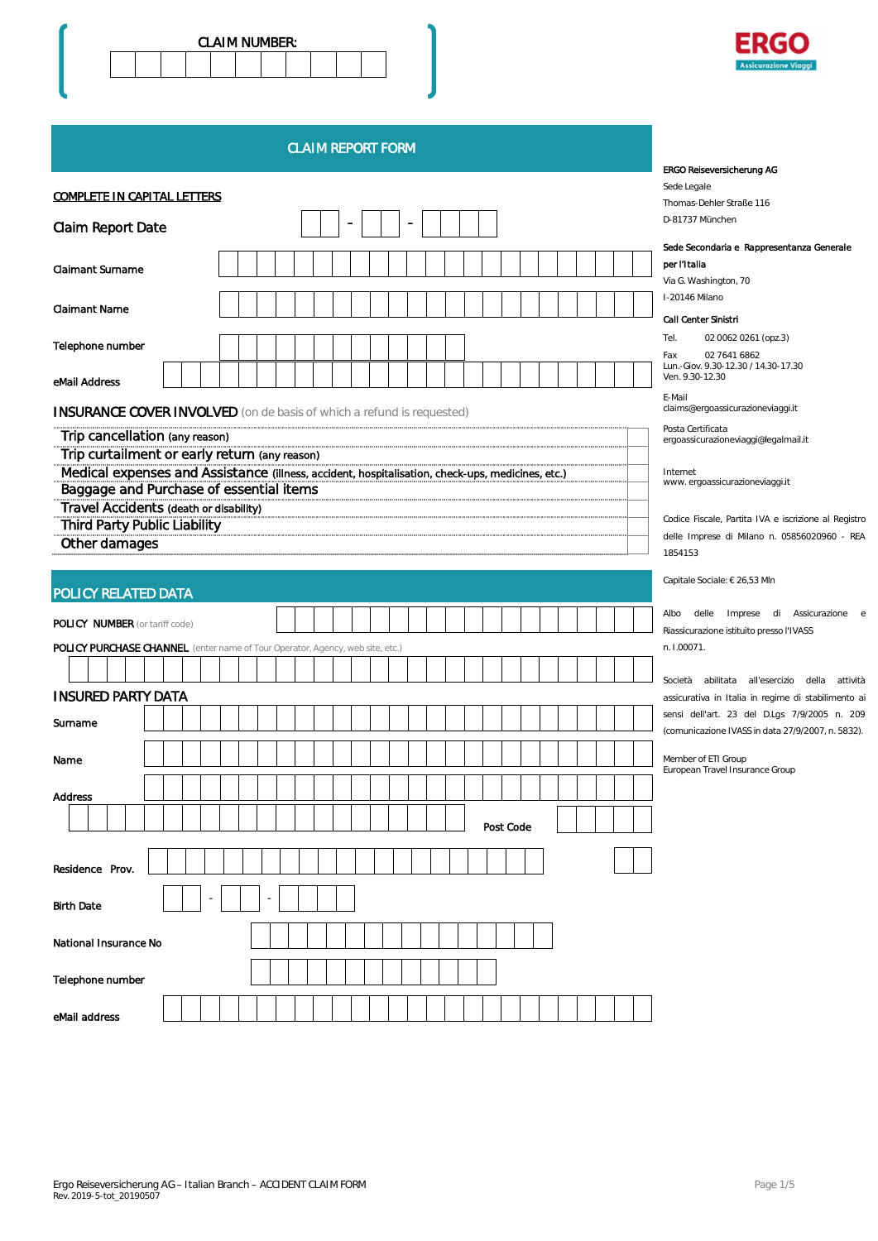



CLAIM REPORT FORM

|                                                                                                  | <b>ERGO Reiseversicherung AG</b>                                                                  |
|--------------------------------------------------------------------------------------------------|---------------------------------------------------------------------------------------------------|
|                                                                                                  | Sede Legale                                                                                       |
| <b>COMPLETE IN CAPITAL LETTERS</b>                                                               | Thomas-Dehler Straße 116                                                                          |
| <b>Claim Report Date</b>                                                                         | D-81737 München                                                                                   |
|                                                                                                  | Sede Secondaria e Rappresentanza Generale                                                         |
| <b>Claimant Surname</b>                                                                          | per l'Italia                                                                                      |
|                                                                                                  | Via G. Washington, 70                                                                             |
|                                                                                                  | I-20146 Milano                                                                                    |
| <b>Claimant Name</b>                                                                             | <b>Call Center Sinistri</b>                                                                       |
|                                                                                                  | Tel.<br>02 0062 0261 (opz.3)                                                                      |
| Telephone number                                                                                 | 02 7641 6862<br>Fax                                                                               |
|                                                                                                  | Lun.-Giov. 9.30-12.30 / 14.30-17.30                                                               |
| eMail Address                                                                                    | Ven. 9.30-12.30                                                                                   |
| <b>INSURANCE COVER INVOLVED</b> (on de basis of which a refund is requested)                     | E-Mail<br>claims@ergoassicurazioneviaggi.it                                                       |
| Trip cancellation (any reason)                                                                   | Posta Certificata<br>ergoassicurazioneviaggi@legalmail.it                                         |
| Trip curtailment or early return (any reason)                                                    |                                                                                                   |
| Medical expenses and Assistance (illness, accident, hospitalisation, check-ups, medicines, etc.) | Internet                                                                                          |
| Baggage and Purchase of essential items                                                          | www.ergoassicurazioneviaggi.it                                                                    |
| Travel Accidents (death or disability)                                                           |                                                                                                   |
| <b>Third Party Public Liability</b>                                                              | Codice Fiscale, Partita IVA e iscrizione al Registro                                              |
| Other damages                                                                                    | delle Imprese di Milano n. 05856020960 - REA                                                      |
|                                                                                                  | 1854153                                                                                           |
|                                                                                                  | Capitale Sociale: € 26,53 Mln                                                                     |
| POLICY RELATED DATA                                                                              |                                                                                                   |
|                                                                                                  | Albo<br>delle Imprese di Assicurazione e                                                          |
| <b>POLICY NUMBER</b> (or tariff code)                                                            | Riassicurazione istituito presso l'IVASS                                                          |
| POLICY PURCHASE CHANNEL (enter name of Tour Operator, Agency, web site, etc.)                    | n. I.00071.                                                                                       |
|                                                                                                  |                                                                                                   |
|                                                                                                  | Società abilitata all'esercizio della<br>attività                                                 |
| <b>INSURED PARTY DATA</b>                                                                        | assicurativa in Italia in regime di stabilimento ai                                               |
| Surname                                                                                          | sensi dell'art. 23 del D.Lgs 7/9/2005 n. 209<br>(comunicazione IVASS in data 27/9/2007, n. 5832). |
|                                                                                                  |                                                                                                   |
| Name                                                                                             | Member of ETI Group<br>European Travel Insurance Group                                            |
|                                                                                                  |                                                                                                   |
| <b>Address</b>                                                                                   |                                                                                                   |
|                                                                                                  | Post Code                                                                                         |
|                                                                                                  |                                                                                                   |
|                                                                                                  |                                                                                                   |
| Residence Prov.                                                                                  |                                                                                                   |
|                                                                                                  |                                                                                                   |
| <b>Birth Date</b>                                                                                |                                                                                                   |
|                                                                                                  |                                                                                                   |
| National Insurance No                                                                            |                                                                                                   |
|                                                                                                  |                                                                                                   |
| Telephone number                                                                                 |                                                                                                   |
|                                                                                                  |                                                                                                   |
| eMail address                                                                                    |                                                                                                   |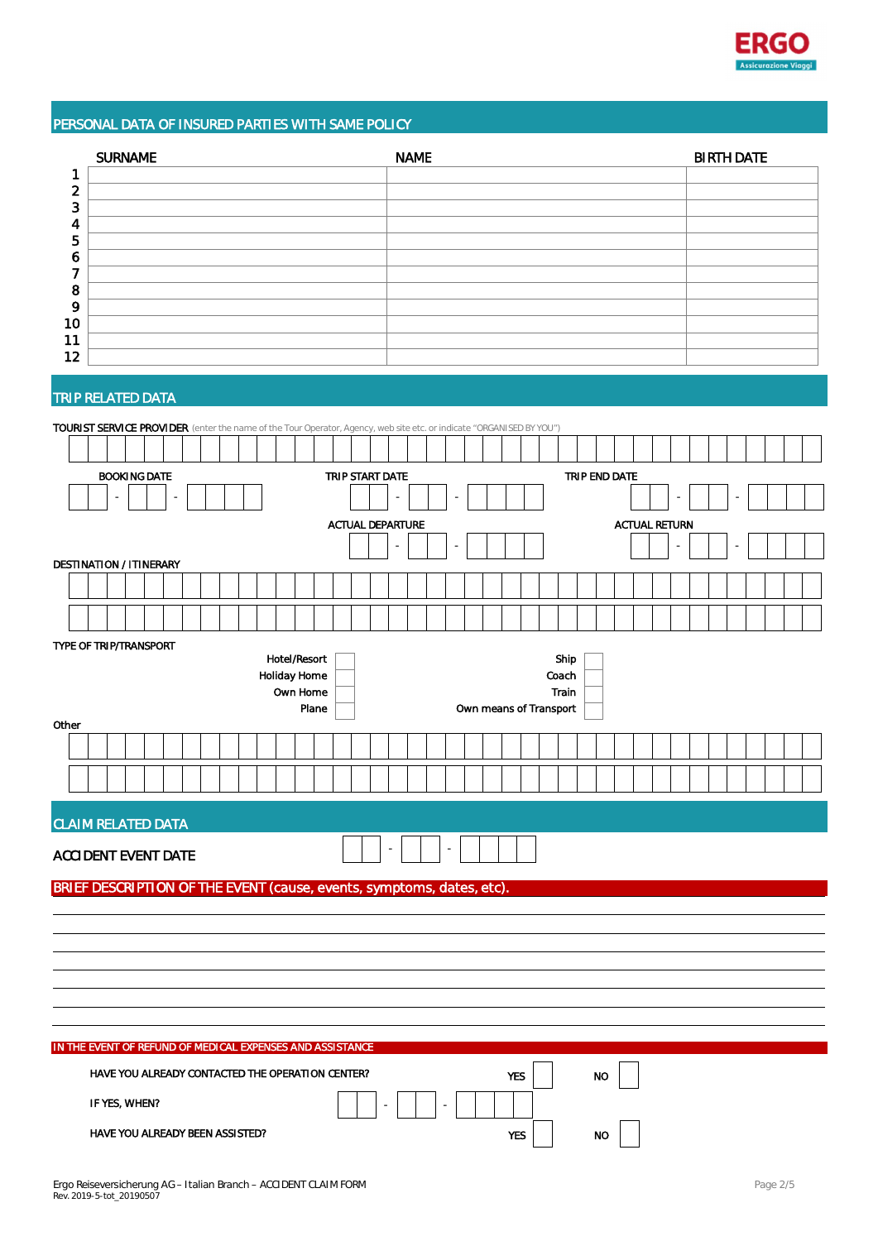

# PERSONAL DATA OF INSURED PARTIES WITH SAME POLICY

|    | <b>SURNAME</b> | <b>NAME</b> | <b>BIRTH DATE</b> |
|----|----------------|-------------|-------------------|
|    |                |             |                   |
| ົ  |                |             |                   |
| 3  |                |             |                   |
|    |                |             |                   |
| 5  |                |             |                   |
| o  |                |             |                   |
|    |                |             |                   |
| 8  |                |             |                   |
| 9  |                |             |                   |
| 10 |                |             |                   |
| 11 |                |             |                   |
| 12 |                |             |                   |

# TRIP RELATED DATA

| TOURIST SERVICE PROVIDER (enter the name of the Tour Operator, Agency, web site etc. or indicate "ORGANISED BY YOU") |                                                                          |                                 |  |  |  |  |  |  |  |  |  |  |  |  |                         |  |                 |  |  |  |    |  |  |                          |  |  |                      |            |  |  |               |  |  |  |  |        |  |  |  |  |  |  |  |  |
|----------------------------------------------------------------------------------------------------------------------|--------------------------------------------------------------------------|---------------------------------|--|--|--|--|--|--|--|--|--|--|--|--|-------------------------|--|-----------------|--|--|--|----|--|--|--------------------------|--|--|----------------------|------------|--|--|---------------|--|--|--|--|--------|--|--|--|--|--|--|--|--|
|                                                                                                                      |                                                                          |                                 |  |  |  |  |  |  |  |  |  |  |  |  |                         |  |                 |  |  |  |    |  |  |                          |  |  |                      |            |  |  |               |  |  |  |  |        |  |  |  |  |  |  |  |  |
|                                                                                                                      |                                                                          | <b>BOOKING DATE</b>             |  |  |  |  |  |  |  |  |  |  |  |  |                         |  | TRIP START DATE |  |  |  |    |  |  |                          |  |  |                      |            |  |  | TRIP END DATE |  |  |  |  |        |  |  |  |  |  |  |  |  |
|                                                                                                                      |                                                                          |                                 |  |  |  |  |  |  |  |  |  |  |  |  |                         |  |                 |  |  |  | L. |  |  |                          |  |  |                      |            |  |  |               |  |  |  |  | $\sim$ |  |  |  |  |  |  |  |  |
|                                                                                                                      |                                                                          |                                 |  |  |  |  |  |  |  |  |  |  |  |  | <b>ACTUAL DEPARTURE</b> |  |                 |  |  |  |    |  |  |                          |  |  | <b>ACTUAL RETURN</b> |            |  |  |               |  |  |  |  |        |  |  |  |  |  |  |  |  |
|                                                                                                                      |                                                                          |                                 |  |  |  |  |  |  |  |  |  |  |  |  |                         |  |                 |  |  |  |    |  |  |                          |  |  |                      |            |  |  |               |  |  |  |  |        |  |  |  |  |  |  |  |  |
| <b>DESTINATION / ITINERARY</b>                                                                                       |                                                                          |                                 |  |  |  |  |  |  |  |  |  |  |  |  |                         |  |                 |  |  |  |    |  |  |                          |  |  |                      |            |  |  |               |  |  |  |  |        |  |  |  |  |  |  |  |  |
|                                                                                                                      |                                                                          |                                 |  |  |  |  |  |  |  |  |  |  |  |  |                         |  |                 |  |  |  |    |  |  |                          |  |  |                      |            |  |  |               |  |  |  |  |        |  |  |  |  |  |  |  |  |
|                                                                                                                      |                                                                          |                                 |  |  |  |  |  |  |  |  |  |  |  |  |                         |  |                 |  |  |  |    |  |  |                          |  |  |                      |            |  |  |               |  |  |  |  |        |  |  |  |  |  |  |  |  |
| TYPE OF TRIP/TRANSPORT                                                                                               |                                                                          |                                 |  |  |  |  |  |  |  |  |  |  |  |  |                         |  |                 |  |  |  |    |  |  |                          |  |  |                      |            |  |  |               |  |  |  |  |        |  |  |  |  |  |  |  |  |
|                                                                                                                      | Hotel/Resort<br>Ship                                                     |                                 |  |  |  |  |  |  |  |  |  |  |  |  |                         |  |                 |  |  |  |    |  |  |                          |  |  |                      |            |  |  |               |  |  |  |  |        |  |  |  |  |  |  |  |  |
|                                                                                                                      | <b>Holiday Home</b><br>Coach<br>Own Home<br>Train                        |                                 |  |  |  |  |  |  |  |  |  |  |  |  |                         |  |                 |  |  |  |    |  |  |                          |  |  |                      |            |  |  |               |  |  |  |  |        |  |  |  |  |  |  |  |  |
|                                                                                                                      | Plane<br>Own means of Transport                                          |                                 |  |  |  |  |  |  |  |  |  |  |  |  |                         |  |                 |  |  |  |    |  |  |                          |  |  |                      |            |  |  |               |  |  |  |  |        |  |  |  |  |  |  |  |  |
| Other                                                                                                                |                                                                          |                                 |  |  |  |  |  |  |  |  |  |  |  |  |                         |  |                 |  |  |  |    |  |  |                          |  |  |                      |            |  |  |               |  |  |  |  |        |  |  |  |  |  |  |  |  |
|                                                                                                                      |                                                                          |                                 |  |  |  |  |  |  |  |  |  |  |  |  |                         |  |                 |  |  |  |    |  |  |                          |  |  |                      |            |  |  |               |  |  |  |  |        |  |  |  |  |  |  |  |  |
|                                                                                                                      |                                                                          |                                 |  |  |  |  |  |  |  |  |  |  |  |  |                         |  |                 |  |  |  |    |  |  |                          |  |  |                      |            |  |  |               |  |  |  |  |        |  |  |  |  |  |  |  |  |
|                                                                                                                      |                                                                          |                                 |  |  |  |  |  |  |  |  |  |  |  |  |                         |  |                 |  |  |  |    |  |  |                          |  |  |                      |            |  |  |               |  |  |  |  |        |  |  |  |  |  |  |  |  |
|                                                                                                                      | <b>CLAIM RELATED DATA</b>                                                |                                 |  |  |  |  |  |  |  |  |  |  |  |  |                         |  |                 |  |  |  |    |  |  |                          |  |  |                      |            |  |  |               |  |  |  |  |        |  |  |  |  |  |  |  |  |
| <b>ACCIDENT EVENT DATE</b>                                                                                           |                                                                          |                                 |  |  |  |  |  |  |  |  |  |  |  |  |                         |  |                 |  |  |  |    |  |  | $\overline{\phantom{a}}$ |  |  |                      |            |  |  |               |  |  |  |  |        |  |  |  |  |  |  |  |  |
| BRIEF DESCRIPTION OF THE EVENT (cause, events, symptoms, dates, etc)                                                 |                                                                          |                                 |  |  |  |  |  |  |  |  |  |  |  |  |                         |  |                 |  |  |  |    |  |  |                          |  |  |                      |            |  |  |               |  |  |  |  |        |  |  |  |  |  |  |  |  |
|                                                                                                                      |                                                                          |                                 |  |  |  |  |  |  |  |  |  |  |  |  |                         |  |                 |  |  |  |    |  |  |                          |  |  |                      |            |  |  |               |  |  |  |  |        |  |  |  |  |  |  |  |  |
|                                                                                                                      |                                                                          |                                 |  |  |  |  |  |  |  |  |  |  |  |  |                         |  |                 |  |  |  |    |  |  |                          |  |  |                      |            |  |  |               |  |  |  |  |        |  |  |  |  |  |  |  |  |
|                                                                                                                      |                                                                          |                                 |  |  |  |  |  |  |  |  |  |  |  |  |                         |  |                 |  |  |  |    |  |  |                          |  |  |                      |            |  |  |               |  |  |  |  |        |  |  |  |  |  |  |  |  |
|                                                                                                                      |                                                                          |                                 |  |  |  |  |  |  |  |  |  |  |  |  |                         |  |                 |  |  |  |    |  |  |                          |  |  |                      |            |  |  |               |  |  |  |  |        |  |  |  |  |  |  |  |  |
|                                                                                                                      |                                                                          |                                 |  |  |  |  |  |  |  |  |  |  |  |  |                         |  |                 |  |  |  |    |  |  |                          |  |  |                      |            |  |  |               |  |  |  |  |        |  |  |  |  |  |  |  |  |
|                                                                                                                      |                                                                          |                                 |  |  |  |  |  |  |  |  |  |  |  |  |                         |  |                 |  |  |  |    |  |  |                          |  |  |                      |            |  |  |               |  |  |  |  |        |  |  |  |  |  |  |  |  |
|                                                                                                                      | IN THE EVENT OF REFUND OF MEDICAL EXPENSES AND ASSISTANCE                |                                 |  |  |  |  |  |  |  |  |  |  |  |  |                         |  |                 |  |  |  |    |  |  |                          |  |  |                      |            |  |  |               |  |  |  |  |        |  |  |  |  |  |  |  |  |
|                                                                                                                      |                                                                          |                                 |  |  |  |  |  |  |  |  |  |  |  |  |                         |  |                 |  |  |  |    |  |  |                          |  |  |                      |            |  |  | <b>NO</b>     |  |  |  |  |        |  |  |  |  |  |  |  |  |
|                                                                                                                      | HAVE YOU ALREADY CONTACTED THE OPERATION CENTER?<br>YES<br>IF YES, WHEN? |                                 |  |  |  |  |  |  |  |  |  |  |  |  |                         |  |                 |  |  |  |    |  |  |                          |  |  |                      |            |  |  |               |  |  |  |  |        |  |  |  |  |  |  |  |  |
|                                                                                                                      |                                                                          |                                 |  |  |  |  |  |  |  |  |  |  |  |  |                         |  |                 |  |  |  |    |  |  |                          |  |  |                      |            |  |  |               |  |  |  |  |        |  |  |  |  |  |  |  |  |
|                                                                                                                      |                                                                          | HAVE YOU ALREADY BEEN ASSISTED? |  |  |  |  |  |  |  |  |  |  |  |  |                         |  |                 |  |  |  |    |  |  |                          |  |  |                      | <b>YES</b> |  |  | <b>NO</b>     |  |  |  |  |        |  |  |  |  |  |  |  |  |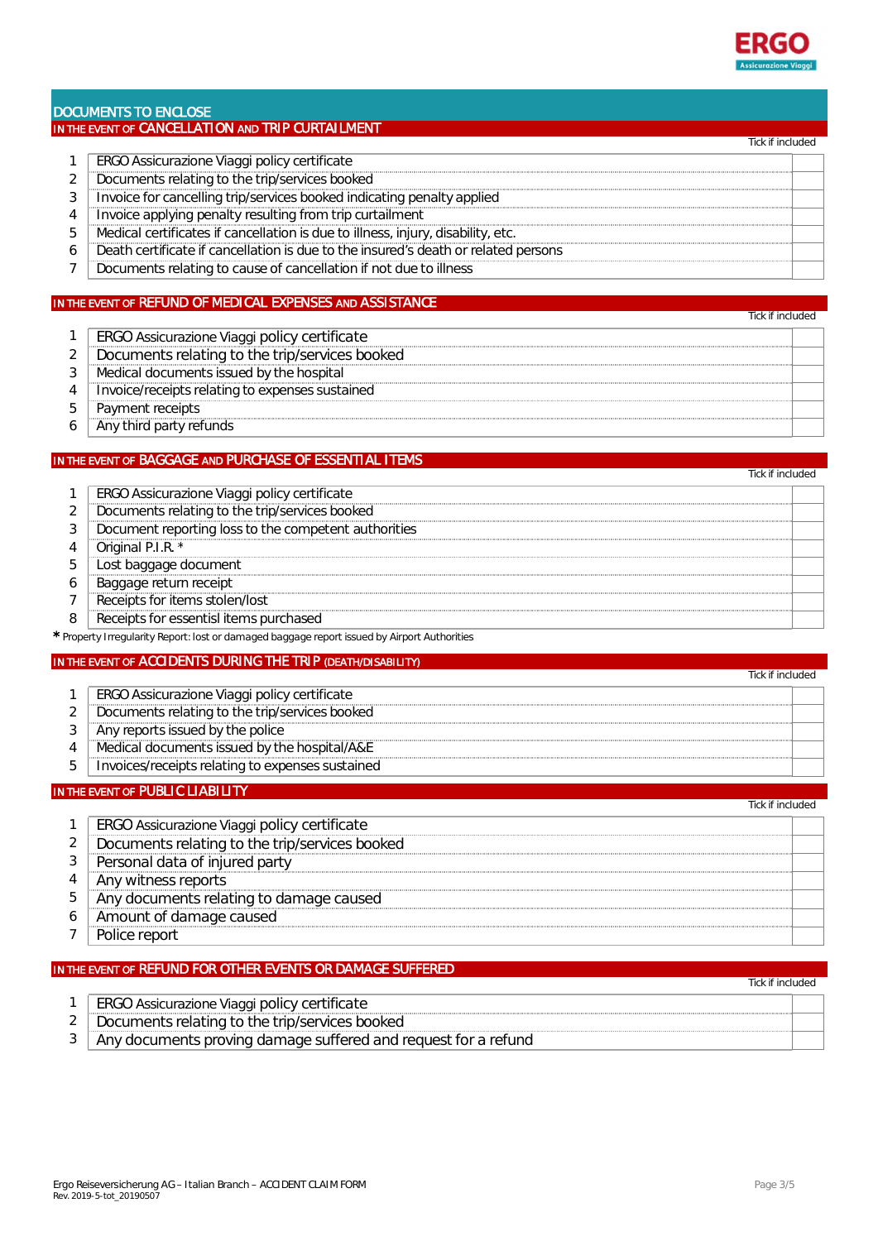

#### DOCUMENTS TO ENCLOSE IN THE EVENT OF CANCELLATION AND TRIP CURTAILMENT

|   | fick if included                                                                   |
|---|------------------------------------------------------------------------------------|
|   | ERGO Assicurazione Viaggi policy certificate                                       |
| 2 | Documents relating to the trip/services booked                                     |
| 3 | Invoice for cancelling trip/services booked indicating penalty applied             |
| 4 | Invoice applying penalty resulting from trip curtailment                           |
| 5 | Medical certificates if cancellation is due to illness, injury, disability, etc.   |
| 6 | Death certificate if cancellation is due to the insured's death or related persons |
|   | Documents relating to cause of cancellation if not due to illness                  |
|   |                                                                                    |

### IN THE EVENT OF REFUND OF MEDICAL EXPENSES AND ASSISTANCE

| ERGO Assicurazione Viaggi policy certificate    |
|-------------------------------------------------|
| Documents relating to the trip/services booked  |
| Medical documents issued by the hospital        |
| Invoice/receipts relating to expenses sustained |
| Payment receipts                                |
| Any third party refunds                         |

#### IN THE EVENT OF BAGGAGE AND PURCHASE OF ESSENTIAL ITEMS

| ERGO Assicurazione Viaggi policy certificate                                                 |
|----------------------------------------------------------------------------------------------|
| Documents relating to the trip/services booked                                               |
| Document reporting loss to the competent authorities                                         |
| Original P.I.R. *                                                                            |
| ost baggage document                                                                         |
| Baggage return receipt                                                                       |
| Receipts for items stolen/lost                                                               |
| Receipts for essentisl items purchased                                                       |
| Dreparty Irrogularity Departy Last or demaged beganners report issued by Airport Authorities |

# \* Property Irregularity Report: lost or damaged baggage report issued by Airport Authorities

#### IN THE EVENT OF ACCIDENTS DURING THE TRIP (DEATH/DISABILITY)

| ERGO Assicurazione Viaggi policy certificate     |
|--------------------------------------------------|
| Documents relating to the trip/services booked   |
| Any reports issued by the police                 |
| Medical documents issued by the hospital/A&E     |
| Invoices/receipts relating to expenses sustained |

#### IN THE EVENT OF PUBLIC LIABILITY

## Tick if included 1 | ERGO Assicurazione Viaggi policy certificate <sup>2</sup> Documents relating to the trip/services booked<br><sup>3</sup> Personal data of iniured party 3 Personal data of injured party<br>4 Any witness reports 4 Any witness reports<br>5 Any documents rela 5 Any documents relating to damage caused<br>6 Amount of damage caused 6 Amount of damage caused<br>7 Police report 7 Police report

#### IN THE EVENT OF REFUND FOR OTHER EVENTS OR DAMAGE SUFFERED

|   | Tick if included                                               |  |
|---|----------------------------------------------------------------|--|
|   | ERGO Assicurazione Viaggi policy certificate                   |  |
| っ | Documents relating to the trip/services booked                 |  |
|   | Any documents proving damage suffered and request for a refund |  |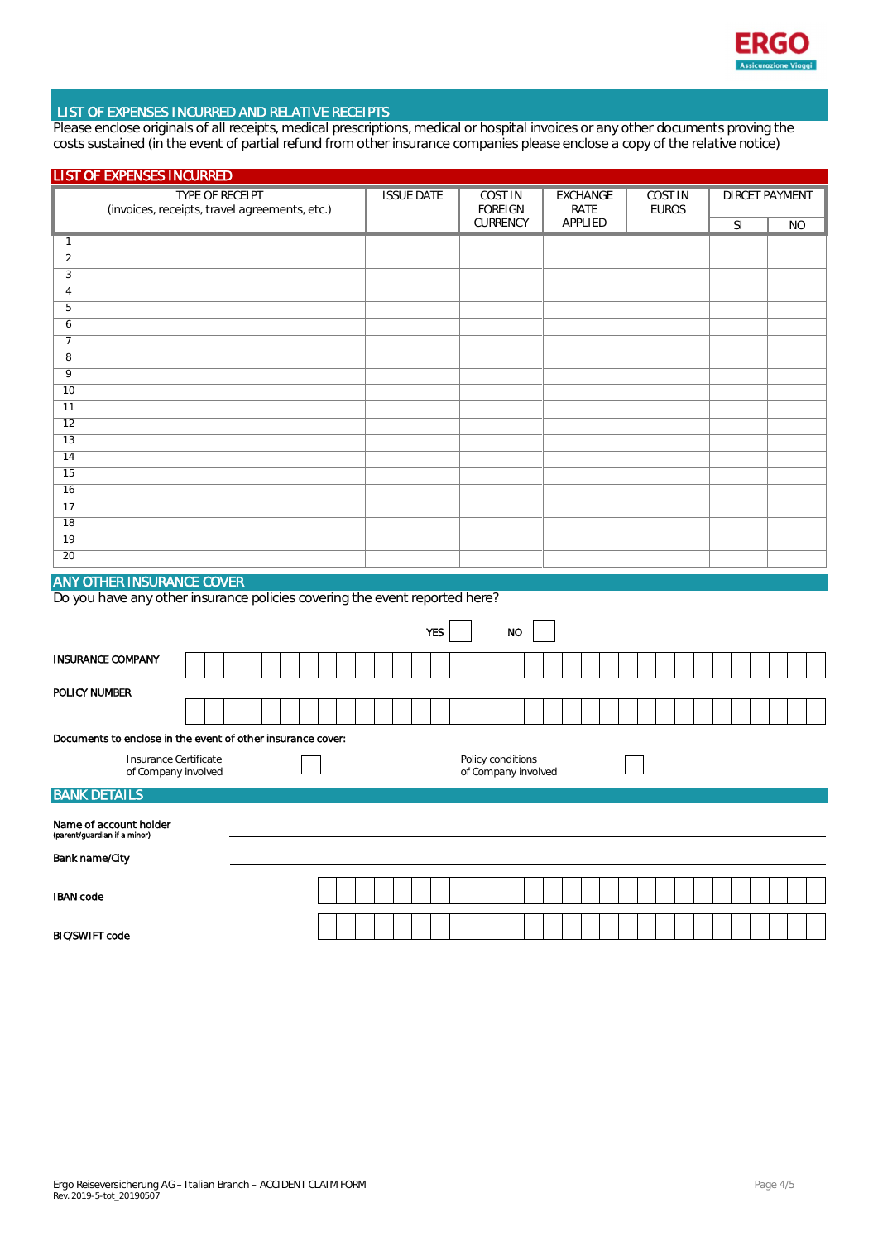

#### LIST OF EXPENSES INCURRED AND RELATIVE RECEIPTS

Please enclose originals of all receipts, medical prescriptions, medical or hospital invoices or any other documents proving the costs sustained (in the event of partial refund from other insurance companies please enclose a copy of the relative notice)

| <b>LIST OF EXPENSES INCURRED</b>                                                                               |  |  |  |  |  |  |                   |  |  |                                  |                                          |          |                 |      |         |                                |  |  |                       |  |  |  |           |  |  |           |  |
|----------------------------------------------------------------------------------------------------------------|--|--|--|--|--|--|-------------------|--|--|----------------------------------|------------------------------------------|----------|-----------------|------|---------|--------------------------------|--|--|-----------------------|--|--|--|-----------|--|--|-----------|--|
| TYPE OF RECEIPT<br>(invoices, receipts, travel agreements, etc.)                                               |  |  |  |  |  |  | <b>ISSUE DATE</b> |  |  | <b>COST IN</b><br><b>FOREIGN</b> |                                          |          | <b>EXCHANGE</b> | RATE |         | <b>COST IN</b><br><b>EUROS</b> |  |  | <b>DIRCET PAYMENT</b> |  |  |  |           |  |  |           |  |
|                                                                                                                |  |  |  |  |  |  |                   |  |  |                                  |                                          | CURRENCY |                 |      | APPLIED |                                |  |  |                       |  |  |  | <b>SI</b> |  |  | <b>NO</b> |  |
| $\mathbf{1}$                                                                                                   |  |  |  |  |  |  |                   |  |  |                                  |                                          |          |                 |      |         |                                |  |  |                       |  |  |  |           |  |  |           |  |
| $\overline{2}$                                                                                                 |  |  |  |  |  |  |                   |  |  |                                  |                                          |          |                 |      |         |                                |  |  |                       |  |  |  |           |  |  |           |  |
| $\sqrt{3}$                                                                                                     |  |  |  |  |  |  |                   |  |  |                                  |                                          |          |                 |      |         |                                |  |  |                       |  |  |  |           |  |  |           |  |
| $\overline{4}$                                                                                                 |  |  |  |  |  |  |                   |  |  |                                  |                                          |          |                 |      |         |                                |  |  |                       |  |  |  |           |  |  |           |  |
| $\overline{5}$                                                                                                 |  |  |  |  |  |  |                   |  |  |                                  |                                          |          |                 |      |         |                                |  |  |                       |  |  |  |           |  |  |           |  |
| 6                                                                                                              |  |  |  |  |  |  |                   |  |  |                                  |                                          |          |                 |      |         |                                |  |  |                       |  |  |  |           |  |  |           |  |
| $\overline{7}$                                                                                                 |  |  |  |  |  |  |                   |  |  |                                  |                                          |          |                 |      |         |                                |  |  |                       |  |  |  |           |  |  |           |  |
| 8                                                                                                              |  |  |  |  |  |  |                   |  |  |                                  |                                          |          |                 |      |         |                                |  |  |                       |  |  |  |           |  |  |           |  |
| 9                                                                                                              |  |  |  |  |  |  |                   |  |  |                                  |                                          |          |                 |      |         |                                |  |  |                       |  |  |  |           |  |  |           |  |
| 10                                                                                                             |  |  |  |  |  |  |                   |  |  |                                  |                                          |          |                 |      |         |                                |  |  |                       |  |  |  |           |  |  |           |  |
| 11                                                                                                             |  |  |  |  |  |  |                   |  |  |                                  |                                          |          |                 |      |         |                                |  |  |                       |  |  |  |           |  |  |           |  |
| $\overline{12}$                                                                                                |  |  |  |  |  |  |                   |  |  |                                  |                                          |          |                 |      |         |                                |  |  |                       |  |  |  |           |  |  |           |  |
| 13                                                                                                             |  |  |  |  |  |  |                   |  |  |                                  |                                          |          |                 |      |         |                                |  |  |                       |  |  |  |           |  |  |           |  |
| 14                                                                                                             |  |  |  |  |  |  |                   |  |  |                                  |                                          |          |                 |      |         |                                |  |  |                       |  |  |  |           |  |  |           |  |
| 15                                                                                                             |  |  |  |  |  |  |                   |  |  |                                  |                                          |          |                 |      |         |                                |  |  |                       |  |  |  |           |  |  |           |  |
| 16                                                                                                             |  |  |  |  |  |  |                   |  |  |                                  |                                          |          |                 |      |         |                                |  |  |                       |  |  |  |           |  |  |           |  |
| 17                                                                                                             |  |  |  |  |  |  |                   |  |  |                                  |                                          |          |                 |      |         |                                |  |  |                       |  |  |  |           |  |  |           |  |
| $\overline{18}$                                                                                                |  |  |  |  |  |  |                   |  |  |                                  |                                          |          |                 |      |         |                                |  |  |                       |  |  |  |           |  |  |           |  |
| $\overline{19}$                                                                                                |  |  |  |  |  |  |                   |  |  |                                  |                                          |          |                 |      |         |                                |  |  |                       |  |  |  |           |  |  |           |  |
| 20                                                                                                             |  |  |  |  |  |  |                   |  |  |                                  |                                          |          |                 |      |         |                                |  |  |                       |  |  |  |           |  |  |           |  |
|                                                                                                                |  |  |  |  |  |  |                   |  |  |                                  |                                          |          |                 |      |         |                                |  |  |                       |  |  |  |           |  |  |           |  |
| <b>ANY OTHER INSURANCE COVER</b><br>Do you have any other insurance policies covering the event reported here? |  |  |  |  |  |  |                   |  |  |                                  |                                          |          |                 |      |         |                                |  |  |                       |  |  |  |           |  |  |           |  |
|                                                                                                                |  |  |  |  |  |  |                   |  |  |                                  |                                          |          |                 |      |         |                                |  |  |                       |  |  |  |           |  |  |           |  |
|                                                                                                                |  |  |  |  |  |  |                   |  |  | <b>YES</b>                       |                                          |          | <b>NO</b>       |      |         |                                |  |  |                       |  |  |  |           |  |  |           |  |
| <b>INSURANCE COMPANY</b>                                                                                       |  |  |  |  |  |  |                   |  |  |                                  |                                          |          |                 |      |         |                                |  |  |                       |  |  |  |           |  |  |           |  |
|                                                                                                                |  |  |  |  |  |  |                   |  |  |                                  |                                          |          |                 |      |         |                                |  |  |                       |  |  |  |           |  |  |           |  |
| POLICY NUMBER                                                                                                  |  |  |  |  |  |  |                   |  |  |                                  |                                          |          |                 |      |         |                                |  |  |                       |  |  |  |           |  |  |           |  |
|                                                                                                                |  |  |  |  |  |  |                   |  |  |                                  |                                          |          |                 |      |         |                                |  |  |                       |  |  |  |           |  |  |           |  |
| Documents to enclose in the event of other insurance cover:                                                    |  |  |  |  |  |  |                   |  |  |                                  |                                          |          |                 |      |         |                                |  |  |                       |  |  |  |           |  |  |           |  |
|                                                                                                                |  |  |  |  |  |  |                   |  |  |                                  |                                          |          |                 |      |         |                                |  |  |                       |  |  |  |           |  |  |           |  |
| Insurance Certificate<br>of Company involved                                                                   |  |  |  |  |  |  |                   |  |  |                                  | Policy conditions<br>of Company involved |          |                 |      |         |                                |  |  |                       |  |  |  |           |  |  |           |  |
| <b>BANK DETAILS</b>                                                                                            |  |  |  |  |  |  |                   |  |  |                                  |                                          |          |                 |      |         |                                |  |  |                       |  |  |  |           |  |  |           |  |
| Name of account holder<br>(parent/guardian if a minor)                                                         |  |  |  |  |  |  |                   |  |  |                                  |                                          |          |                 |      |         |                                |  |  |                       |  |  |  |           |  |  |           |  |
| <b>Bank name/City</b>                                                                                          |  |  |  |  |  |  |                   |  |  |                                  |                                          |          |                 |      |         |                                |  |  |                       |  |  |  |           |  |  |           |  |
|                                                                                                                |  |  |  |  |  |  |                   |  |  |                                  |                                          |          |                 |      |         |                                |  |  |                       |  |  |  |           |  |  |           |  |
| <b>IBAN</b> code                                                                                               |  |  |  |  |  |  |                   |  |  |                                  |                                          |          |                 |      |         |                                |  |  |                       |  |  |  |           |  |  |           |  |
|                                                                                                                |  |  |  |  |  |  |                   |  |  |                                  |                                          |          |                 |      |         |                                |  |  |                       |  |  |  |           |  |  |           |  |
| <b>BIC/SWIFT code</b>                                                                                          |  |  |  |  |  |  |                   |  |  |                                  |                                          |          |                 |      |         |                                |  |  |                       |  |  |  |           |  |  |           |  |